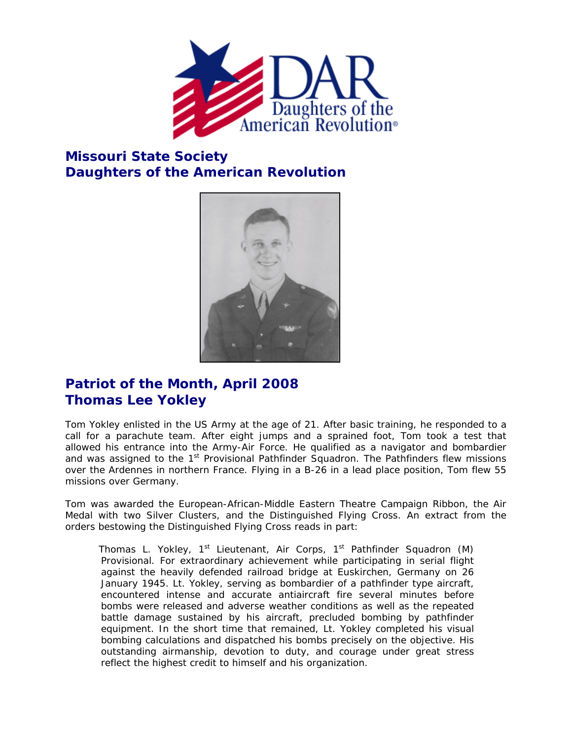

## **Missouri State Society Daughters of the American Revolution**



## **Patriot of the Month, April 2008 Thomas Lee Yokley**

Tom Yokley enlisted in the US Army at the age of 21. After basic training, he responded to a call for a parachute team. After eight jumps and a sprained foot, Tom took a test that allowed his entrance into the Army-Air Force. He qualified as a navigator and bombardier and was assigned to the 1<sup>st</sup> Provisional Pathfinder Squadron. The Pathfinders flew missions over the Ardennes in northern France. Flying in a B-26 in a lead place position, Tom flew 55 missions over Germany.

Tom was awarded the European-African-Middle Eastern Theatre Campaign Ribbon, the Air Medal with two Silver Clusters, and the Distinguished Flying Cross. An extract from the orders bestowing the Distinguished Flying Cross reads in part:

Thomas L. Yokley,  $1^{st}$  Lieutenant, Air Corps,  $1^{st}$  Pathfinder Squadron (M) Provisional. For extraordinary achievement while participating in serial flight against the heavily defended railroad bridge at Euskirchen, Germany on 26 January 1945. Lt. Yokley, serving as bombardier of a pathfinder type aircraft, encountered intense and accurate antiaircraft fire several minutes before bombs were released and adverse weather conditions as well as the repeated battle damage sustained by his aircraft, precluded bombing by pathfinder equipment. In the short time that remained, Lt. Yokley completed his visual bombing calculations and dispatched his bombs precisely on the objective. His outstanding airmanship, devotion to duty, and courage under great stress reflect the highest credit to himself and his organization.